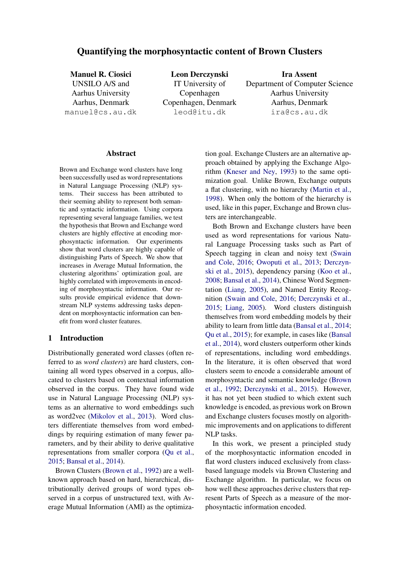# Quantifying the morphosyntactic content of Brown Clusters

Manuel R. Ciosici UNSILO A/S and Aarhus University Aarhus, Denmark manuel@cs.au.dk

Leon Derczynski IT University of Copenhagen Copenhagen, Denmark leod@itu.dk

Ira Assent Department of Computer Science Aarhus University Aarhus, Denmark ira@cs.au.dk

#### Abstract

Brown and Exchange word clusters have long been successfully used as word representations in Natural Language Processing (NLP) systems. Their success has been attributed to their seeming ability to represent both semantic and syntactic information. Using corpora representing several language families, we test the hypothesis that Brown and Exchange word clusters are highly effective at encoding morphosyntactic information. Our experiments show that word clusters are highly capable of distinguishing Parts of Speech. We show that increases in Average Mutual Information, the clustering algorithms' optimization goal, are highly correlated with improvements in encoding of morphosyntactic information. Our results provide empirical evidence that downstream NLP systems addressing tasks dependent on morphosyntactic information can benefit from word cluster features.

# 1 Introduction

Distributionally generated word classes (often referred to as *word clusters*) are hard clusters, containing all word types observed in a corpus, allocated to clusters based on contextual information observed in the corpus. They have found wide use in Natural Language Processing (NLP) systems as an alternative to word embeddings such as word2vec [\(Mikolov et al.,](#page-9-0) [2013\)](#page-9-0). Word clusters differentiate themselves from word embeddings by requiring estimation of many fewer parameters, and by their ability to derive qualitative representations from smaller corpora [\(Qu et al.,](#page-9-1) [2015;](#page-9-1) [Bansal et al.,](#page-8-0) [2014\)](#page-8-0).

Brown Clusters [\(Brown et al.,](#page-8-1) [1992\)](#page-8-1) are a wellknown approach based on hard, hierarchical, distributionally derived groups of word types observed in a corpus of unstructured text, with Average Mutual Information (AMI) as the optimiza-

tion goal. Exchange Clusters are an alternative approach obtained by applying the Exchange Algorithm [\(Kneser and Ney,](#page-8-2) [1993\)](#page-8-2) to the same optimization goal. Unlike Brown, Exchange outputs a flat clustering, with no hierarchy [\(Martin et al.,](#page-9-2) [1998\)](#page-9-2). When only the bottom of the hierarchy is used, like in this paper, Exchange and Brown clusters are interchangeable.

Both Brown and Exchange clusters have been used as word representations for various Natural Language Processing tasks such as Part of Speech tagging in clean and noisy text [\(Swain](#page-9-3) [and Cole,](#page-9-3) [2016;](#page-9-3) [Owoputi et al.,](#page-9-4) [2013;](#page-9-4) [Derczyn](#page-8-3)[ski et al.,](#page-8-3) [2015\)](#page-8-3), dependency parsing [\(Koo et al.,](#page-8-4) [2008;](#page-8-4) [Bansal et al.,](#page-8-0) [2014\)](#page-8-0), Chinese Word Segmentation [\(Liang,](#page-8-5) [2005\)](#page-8-5), and Named Entity Recognition [\(Swain and Cole,](#page-9-3) [2016;](#page-9-3) [Derczynski et al.,](#page-8-3) [2015;](#page-8-3) [Liang,](#page-8-5) [2005\)](#page-8-5). Word clusters distinguish themselves from word embedding models by their ability to learn from little data [\(Bansal et al.,](#page-8-0) [2014;](#page-8-0) [Qu et al.,](#page-9-1) [2015\)](#page-9-1); for example, in cases like [\(Bansal](#page-8-0) [et al.,](#page-8-0) [2014\)](#page-8-0), word clusters outperform other kinds of representations, including word embeddings. In the literature, it is often observed that word clusters seem to encode a considerable amount of morphosyntactic and semantic knowledge [\(Brown](#page-8-1) [et al.,](#page-8-1) [1992;](#page-8-1) [Derczynski et al.,](#page-8-3) [2015\)](#page-8-3). However, it has not yet been studied to which extent such knowledge is encoded, as previous work on Brown and Exchange clusters focuses mostly on algorithmic improvements and on applications to different NLP tasks.

In this work, we present a principled study of the morphosyntactic information encoded in flat word clusters induced exclusively from classbased language models via Brown Clustering and Exchange algorithm. In particular, we focus on how well these approaches derive clusters that represent Parts of Speech as a measure of the morphosyntactic information encoded.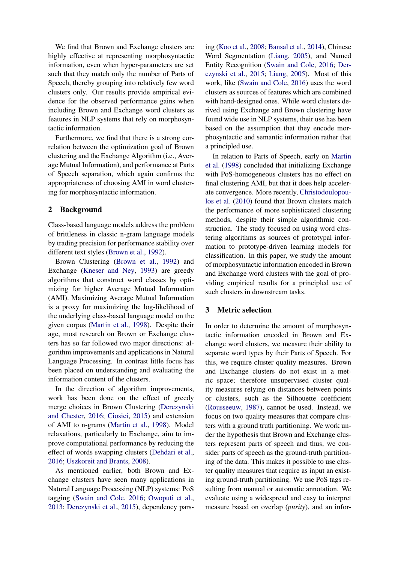We find that Brown and Exchange clusters are highly effective at representing morphosyntactic information, even when hyper-parameters are set such that they match only the number of Parts of Speech, thereby grouping into relatively few word clusters only. Our results provide empirical evidence for the observed performance gains when including Brown and Exchange word clusters as features in NLP systems that rely on morphosyntactic information.

Furthermore, we find that there is a strong correlation between the optimization goal of Brown clustering and the Exchange Algorithm (i.e., Average Mutual Information), and performance at Parts of Speech separation, which again confirms the appropriateness of choosing AMI in word clustering for morphosyntactic information.

## 2 Background

Class-based language models address the problem of brittleness in classic n-gram language models by trading precision for performance stability over different text styles [\(Brown et al.,](#page-8-1) [1992\)](#page-8-1).

Brown Clustering [\(Brown et al.,](#page-8-1) [1992\)](#page-8-1) and Exchange [\(Kneser and Ney,](#page-8-2) [1993\)](#page-8-2) are greedy algorithms that construct word classes by optimizing for higher Average Mutual Information (AMI). Maximizing Average Mutual Information is a proxy for maximizing the log-likelihood of the underlying class-based language model on the given corpus [\(Martin et al.,](#page-9-2) [1998\)](#page-9-2). Despite their age, most research on Brown or Exchange clusters has so far followed two major directions: algorithm improvements and applications in Natural Language Processing. In contrast little focus has been placed on understanding and evaluating the information content of the clusters.

In the direction of algorithm improvements, work has been done on the effect of greedy merge choices in Brown Clustering [\(Derczynski](#page-8-6) [and Chester,](#page-8-6) [2016;](#page-8-6) [Ciosici,](#page-8-7) [2015\)](#page-8-7) and extension of AMI to n-grams [\(Martin et al.,](#page-9-2) [1998\)](#page-9-2). Model relaxations, particularly to Exchange, aim to improve computational performance by reducing the effect of words swapping clusters [\(Dehdari et al.,](#page-8-8) [2016;](#page-8-8) [Uszkoreit and Brants,](#page-9-5) [2008\)](#page-9-5).

As mentioned earlier, both Brown and Exchange clusters have seen many applications in Natural Language Processing (NLP) systems: PoS tagging [\(Swain and Cole,](#page-9-3) [2016;](#page-9-3) [Owoputi et al.,](#page-9-4) [2013;](#page-9-4) [Derczynski et al.,](#page-8-3) [2015\)](#page-8-3), dependency pars-

ing [\(Koo et al.,](#page-8-4) [2008;](#page-8-4) [Bansal et al.,](#page-8-0) [2014\)](#page-8-0), Chinese Word Segmentation [\(Liang,](#page-8-5) [2005\)](#page-8-5), and Named Entity Recognition [\(Swain and Cole,](#page-9-3) [2016;](#page-9-3) [Der](#page-8-3)[czynski et al.,](#page-8-3) [2015;](#page-8-3) [Liang,](#page-8-5) [2005\)](#page-8-5). Most of this work, like [\(Swain and Cole,](#page-9-3) [2016\)](#page-9-3) uses the word clusters as sources of features which are combined with hand-designed ones. While word clusters derived using Exchange and Brown clustering have found wide use in NLP systems, their use has been based on the assumption that they encode morphosyntactic and semantic information rather that a principled use.

In relation to Parts of Speech, early on [Martin](#page-9-2) [et al.](#page-9-2) [\(1998\)](#page-9-2) concluded that initializing Exchange with PoS-homogeneous clusters has no effect on final clustering AMI, but that it does help accelerate convergence. More recently, [Christodoulopou](#page-8-9)[los et al.](#page-8-9) [\(2010\)](#page-8-9) found that Brown clusters match the performance of more sophisticated clustering methods, despite their simple algorithmic construction. The study focused on using word clustering algorithms as sources of prototypal information to prototype-driven learning models for classification. In this paper, we study the amount of morphosyntactic information encoded in Brown and Exchange word clusters with the goal of providing empirical results for a principled use of such clusters in downstream tasks.

# 3 Metric selection

In order to determine the amount of morphosyntactic information encoded in Brown and Exchange word clusters, we measure their ability to separate word types by their Parts of Speech. For this, we require cluster quality measures. Brown and Exchange clusters do not exist in a metric space; therefore unsupervised cluster quality measures relying on distances between points or clusters, such as the Silhouette coefficient [\(Rousseeuw,](#page-9-6) [1987\)](#page-9-6), cannot be used. Instead, we focus on two quality measures that compare clusters with a ground truth partitioning. We work under the hypothesis that Brown and Exchange clusters represent parts of speech and thus, we consider parts of speech as the ground-truth partitioning of the data. This makes it possible to use cluster quality measures that require as input an existing ground-truth partitioning. We use PoS tags resulting from manual or automatic annotation. We evaluate using a widespread and easy to interpret measure based on overlap (*purity*), and an infor-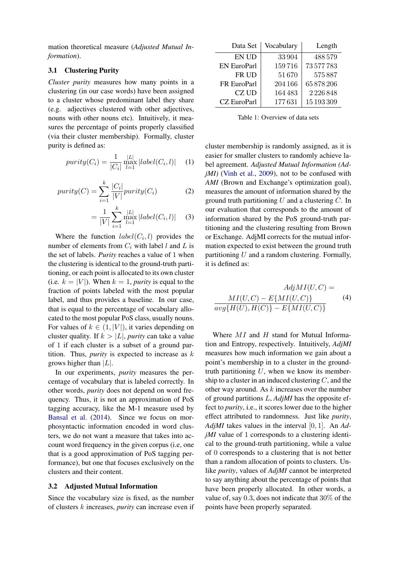mation theoretical measure (*Adjusted Mutual Information*).

#### 3.1 Clustering Purity

*Cluster purity* measures how many points in a clustering (in our case words) have been assigned to a cluster whose predominant label they share (e.g. adjectives clustered with other adjectives, nouns with other nouns etc). Intuitively, it measures the percentage of points properly classified (via their cluster membership). Formally, cluster purity is defined as:

$$
purity(C_i) = \frac{1}{|C_i|} \max_{l=1}^{|L|} |label(C_i, l)| \quad (1)
$$

$$
purity(C) = \sum_{i=1}^{k} \frac{|C_i|}{|V|} purity(C_i)
$$
 (2)

$$
= \frac{1}{|V|} \sum_{i=1}^{k} \max_{l=1}^{|L|} |label(C_i, l)| \qquad (3)
$$

Where the function  $label(C_i, l)$  provides the number of elements from  $C_i$  with label l and L is the set of labels. *Purity* reaches a value of 1 when the clustering is identical to the ground-truth partitioning, or each point is allocated to its own cluster (i.e.  $k = |V|$ ). When  $k = 1$ , *purity* is equal to the fraction of points labeled with the most popular label, and thus provides a baseline. In our case, that is equal to the percentage of vocabulary allocated to the most popular PoS class, usually nouns. For values of  $k \in (1, |V|)$ , it varies depending on cluster quality. If  $k > |L|$ , *purity* can take a value of 1 if each cluster is a subset of a ground partition. Thus, *purity* is expected to increase as  $k$ grows higher than  $|L|$ .

In our experiments, *purity* measures the percentage of vocabulary that is labeled correctly. In other words, *purity* does not depend on word frequency. Thus, it is not an approximation of PoS tagging accuracy, like the M-1 measure used by [Bansal et al.](#page-8-0) [\(2014\)](#page-8-0). Since we focus on morphosyntactic information encoded in word clusters, we do not want a measure that takes into account word frequency in the given corpus (i.e, one that is a good approximation of PoS tagging performance), but one that focuses exclusively on the clusters and their content.

#### 3.2 Adjusted Mutual Information

Since the vocabulary size is fixed, as the number of clusters k increases, *purity* can increase even if

| Data Set           | Vocabulary | Length     |
|--------------------|------------|------------|
| EN UD              | 33 904     | 488579     |
| <b>EN EuroParl</b> | 159716     | 73577783   |
| FR UD              | 51670      | 575887     |
| FR EuroParl        | 204 166    | 65878206   |
| CZ UD              | 164483     | 2226848    |
| <b>CZ</b> EuroParl | 177631     | 15 193 309 |

Table 1: Overview of data sets

cluster membership is randomly assigned, as it is easier for smaller clusters to randomly achieve label agreement. *Adjusted Mutual Information (AdjMI*) [\(Vinh et al.,](#page-9-7) [2009\)](#page-9-7), not to be confused with *AMI* (Brown and Exchange's optimization goal), measures the amount of information shared by the ground truth partitioning  $U$  and a clustering  $C$ . In our evaluation that corresponds to the amount of information shared by the PoS ground-truth partitioning and the clustering resulting from Brown or Exchange. AdjMI corrects for the mutual information expected to exist between the ground truth partitioning  $U$  and a random clustering. Formally, it is defined as:

<span id="page-2-0"></span>
$$
AdjMI(U, C) =
$$
  
\n
$$
MI(U, C) - E{MI(U, C)}
$$
  
\n
$$
avg{H(U), H(C)} - E{MI(U, C)}
$$
\n(4)

Where  $MI$  and  $H$  stand for Mutual Information and Entropy, respectively. Intuitively, *AdjMI* measures how much information we gain about a point's membership in to a cluster in the groundtruth partitioning  $U$ , when we know its membership to a cluster in an induced clustering  $C$ , and the other way around. As  $k$  increases over the number of ground partitions L, *AdjMI* has the opposite effect to *purity*, i.e., it scores lower due to the higher effect attributed to randomness. Just like *purity*, *AdjMI* takes values in the interval [0, 1]. An *AdjMI* value of 1 corresponds to a clustering identical to the ground-truth partitioning, while a value of 0 corresponds to a clustering that is not better than a random allocation of points to clusters. Unlike *purity*, values of *AdjMI* cannot be interpreted to say anything about the percentage of points that have been properly allocated. In other words, a value of, say 0.3, does not indicate that 30% of the points have been properly separated.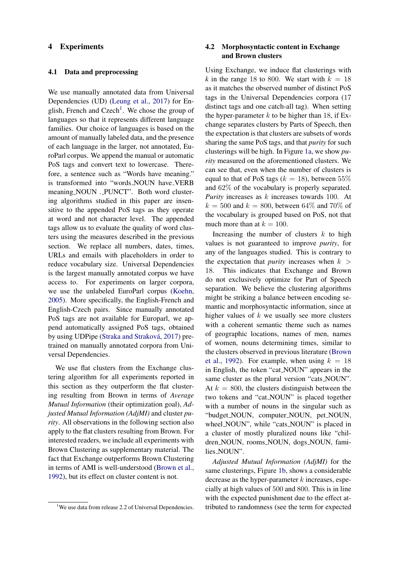## 4 Experiments

#### 4.1 Data and preprocessing

We use manually annotated data from Universal Dependencies (UD) [\(Leung et al.,](#page-8-10) [2017\)](#page-8-10) for En-glish, French and Czech<sup>[1](#page-3-0)</sup>. We chose the group of languages so that it represents different language families. Our choice of languages is based on the amount of manually labeled data, and the presence of each language in the larger, not annotated, EuroParl corpus. We append the manual or automatic PoS tags and convert text to lowercase. Therefore, a sentence such as "Words have meaning." is transformed into "words NOUN have VERB meaning NOUN . PUNCT". Both word clustering algorithms studied in this paper are insensitive to the appended PoS tags as they operate at word and not character level. The appended tags allow us to evaluate the quality of word clusters using the measures described in the previous section. We replace all numbers, dates, times, URLs and emails with placeholders in order to reduce vocabulary size. Universal Dependencies is the largest manually annotated corpus we have access to. For experiments on larger corpora, we use the unlabeled EuroParl corpus [\(Koehn,](#page-8-11) [2005\)](#page-8-11). More specifically, the English-French and English-Czech pairs. Since manually annotated PoS tags are not available for Europarl, we append automatically assigned PoS tags, obtained by using UDPipe (Straka and Straková, [2017\)](#page-9-8) pretrained on manually annotated corpora from Universal Dependencies.

We use flat clusters from the Exchange clustering algorithm for all experiments reported in this section as they outperform the flat clustering resulting from Brown in terms of *Average Mutual Information* (their optimization goal), *Adjusted Mutual Information (AdjMI)* and cluster *purity*. All observations in the following section also apply to the flat clusters resulting from Brown. For interested readers, we include all experiments with Brown Clustering as supplementary material. The fact that Exchange outperforms Brown Clustering in terms of AMI is well-understood [\(Brown et al.,](#page-8-1) [1992\)](#page-8-1), but its effect on cluster content is not.

# 4.2 Morphosyntactic content in Exchange and Brown clusters

Using Exchange, we induce flat clusterings with *k* in the range 18 to 800. We start with  $k = 18$ as it matches the observed number of distinct PoS tags in the Universal Dependencies corpora (17 distinct tags and one catch-all tag). When setting the hyper-parameter  $k$  to be higher than 18, if Exchange separates clusters by Parts of Speech, then the expectation is that clusters are subsets of words sharing the same PoS tags, and that *purity* for such clusterings will be high. In Figure [1a,](#page-5-0) we show *purity* measured on the aforementioned clusters. We can see that, even when the number of clusters is equal to that of PoS tags ( $k = 18$ ), between 55% and 62% of the vocabulary is properly separated. *Purity* increases as k increases towards 100. At  $k = 500$  and  $k = 800$ , between 64% and 70% of the vocabulary is grouped based on PoS, not that much more than at  $k = 100$ .

Increasing the number of clusters  $k$  to high values is not guaranteed to improve *purity*, for any of the languages studied. This is contrary to the expectation that *purity* increases when  $k >$ 18. This indicates that Exchange and Brown do not exclusively optimize for Part of Speech separation. We believe the clustering algorithms might be striking a balance between encoding semantic and morphosyntactic information, since at higher values of  $k$  we usually see more clusters with a coherent semantic theme such as names of geographic locations, names of men, names of women, nouns determining times, similar to the clusters observed in previous literature [\(Brown](#page-8-1) [et al.,](#page-8-1) [1992\)](#page-8-1). For example, when using  $k = 18$ in English, the token "cat NOUN" appears in the same cluster as the plural version "cats\_NOUN". At  $k = 800$ , the clusters distinguish between the two tokens and "cat NOUN" is placed together with a number of nouns in the singular such as "budget NOUN, computer NOUN, pet NOUN, wheel\_NOUN", while "cats\_NOUN" is placed in a cluster of mostly pluralized nouns like "children NOUN, rooms NOUN, dogs NOUN, families NOUN".

*Adjusted Mutual Information (AdjMI)* for the same clusterings, Figure [1b,](#page-5-0) shows a considerable decrease as the hyper-parameter  $k$  increases, especially at high values of 500 and 800. This is in line with the expected punishment due to the effect attributed to randomness (see the term for expected

<span id="page-3-0"></span><sup>&</sup>lt;sup>1</sup>We use data from release 2.2 of Universal Dependencies.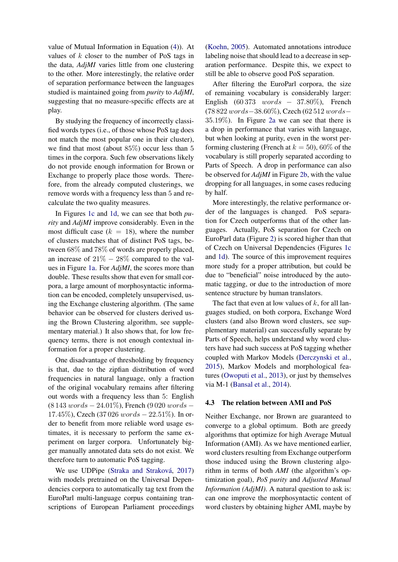value of Mutual Information in Equation [\(4\)](#page-2-0)). At values of  $k$  closer to the number of PoS tags in the data, *AdjMI* varies little from one clustering to the other. More interestingly, the relative order of separation performance between the languages studied is maintained going from *purity* to *AdjMI*, suggesting that no measure-specific effects are at play.

By studying the frequency of incorrectly classified words types (i.e., of those whose PoS tag does not match the most popular one in their cluster), we find that most (about 85%) occur less than 5 times in the corpora. Such few observations likely do not provide enough information for Brown or Exchange to properly place those words. Therefore, from the already computed clusterings, we remove words with a frequency less than 5 and recalculate the two quality measures.

In Figures [1c](#page-5-0) and [1d,](#page-5-0) we can see that both *purity* and *AdjMI* improve considerably. Even in the most difficult case  $(k = 18)$ , where the number of clusters matches that of distinct PoS tags, between 68% and 78% of words are properly placed, an increase of  $21\% - 28\%$  compared to the values in Figure [1a.](#page-5-0) For *AdjMI*, the scores more than double. These results show that even for small corpora, a large amount of morphosyntactic information can be encoded, completely unsupervised, using the Exchange clustering algorithm. (The same behavior can be observed for clusters derived using the Brown Clustering algorithm, see supplementary material.) It also shows that, for low frequency terms, there is not enough contextual information for a proper clustering.

One disadvantage of thresholding by frequency is that, due to the zipfian distribution of word frequencies in natural language, only a fraction of the original vocabulary remains after filtering out words with a frequency less than 5: English (8 143 words − 24.01%), French (9 020 words − 17.45%), Czech (37 026  $words - 22.51\%$ ). In order to benefit from more reliable word usage estimates, it is necessary to perform the same experiment on larger corpora. Unfortunately bigger manually annotated data sets do not exist. We therefore turn to automatic PoS tagging.

We use UDPipe (Straka and Straková, [2017\)](#page-9-8) with models pretrained on the Universal Dependencies corpora to automatically tag text from the EuroParl multi-language corpus containing transcriptions of European Parliament proceedings [\(Koehn,](#page-8-11) [2005\)](#page-8-11). Automated annotations introduce labeling noise that should lead to a decrease in separation performance. Despite this, we expect to still be able to observe good PoS separation.

After filtering the EuroParl corpora, the size of remaining vocabulary is considerably larger: English  $(60373 \quad words = 37.80\%$ ), French (78 822 words−38.60%), Czech (62 512 words− 35.19%). In Figure [2a](#page-6-0) we can see that there is a drop in performance that varies with language, but when looking at purity, even in the worst performing clustering (French at  $k = 50$ ), 60% of the vocabulary is still properly separated according to Parts of Speech. A drop in performance can also be observed for *AdjMI* in Figure [2b,](#page-6-0) with the value dropping for all languages, in some cases reducing by half.

More interestingly, the relative performance order of the languages is changed. PoS separation for Czech outperforms that of the other languages. Actually, PoS separation for Czech on EuroParl data (Figure [2\)](#page-6-0) is scored higher than that of Czech on Universal Dependencies (Figures [1c](#page-5-0) and [1d\)](#page-5-0). The source of this improvement requires more study for a proper attribution, but could be due to "beneficial" noise introduced by the automatic tagging, or due to the introduction of more sentence structure by human translators.

The fact that even at low values of  $k$ , for all languages studied, on both corpora, Exchange Word clusters (and also Brown word clusters, see supplementary material) can successfully separate by Parts of Speech, helps understand why word clusters have had such success at PoS tagging whether coupled with Markov Models [\(Derczynski et al.,](#page-8-3) [2015\)](#page-8-3), Markov Models and morphological features [\(Owoputi et al.,](#page-9-4) [2013\)](#page-9-4), or just by themselves via M-1 [\(Bansal et al.,](#page-8-0) [2014\)](#page-8-0).

#### 4.3 The relation between AMI and PoS

Neither Exchange, nor Brown are guaranteed to converge to a global optimum. Both are greedy algorithms that optimize for high Average Mutual Information (AMI). As we have mentioned earlier, word clusters resulting from Exchange outperform those induced using the Brown clustering algorithm in terms of both *AMI* (the algorithm's optimization goal), *PoS purity* and *Adjusted Mutual Information (AdjMI)*. A natural question to ask is: can one improve the morphosyntactic content of word clusters by obtaining higher AMI, maybe by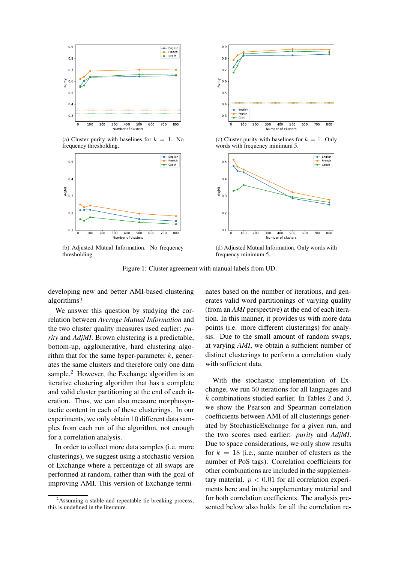<span id="page-5-0"></span>

(a) Cluster purity with baselines for  $k = 1$ . No frequency thresholding.



(b) Adjusted Mutual Information. No frequency thresholding.



(c) Cluster purity with baselines for  $k = 1$ . Only words with frequency minimum 5.



(d) Adjusted Mutual Information. Only words with frequency minimum 5.

Figure 1: Cluster agreement with manual labels from UD.

developing new and better AMI-based clustering algorithms?

We answer this question by studying the correlation between *Average Mutual Information* and the two cluster quality measures used earlier: *purity* and *AdjMI*. Brown clustering is a predictable, bottom-up, agglomerative, hard clustering algorithm that for the same hyper-parameter  $k$ , generates the same clusters and therefore only one data sample.<sup>[2](#page-5-1)</sup> However, the Exchange algorithm is an iterative clustering algorithm that has a complete and valid cluster partitioning at the end of each iteration. Thus, we can also measure morphosyntactic content in each of these clusterings. In our experiments, we only obtain 10 different data samples from each run of the algorithm, not enough for a correlation analysis.

In order to collect more data samples (i.e. more clusterings), we suggest using a stochastic version of Exchange where a percentage of all swaps are performed at random, rather than with the goal of improving AMI. This version of Exchange terminates based on the number of iterations, and generates valid word partitionings of varying quality (from an *AMI* perspective) at the end of each iteration. In this manner, it provides us with more data points (i.e. more different clusterings) for analysis. Due to the small amount of random swaps, at varying *AMI*, we obtain a sufficient number of distinct clusterings to perform a correlation study with sufficient data.

With the stochastic implementation of Exchange, we run 50 iterations for all languages and k combinations studied earlier. In Tables [2](#page-6-1) and [3,](#page-6-1) we show the Pearson and Spearman correlation coefficients between AMI of all clusterings generated by StochasticExchange for a given run, and the two scores used earlier: *purity* and *AdjMI*. Due to space considerations, we only show results for  $k = 18$  (i.e., same number of clusters as the number of PoS tags). Correlation coefficients for other combinations are included in the supplementary material.  $p < 0.01$  for all correlation experiments here and in the supplementary material and for both correlation coefficients. The analysis presented below also holds for all the correlation re-

<span id="page-5-1"></span> $2$ Assuming a stable and repeatable tie-breaking process; this is undefined in the literature.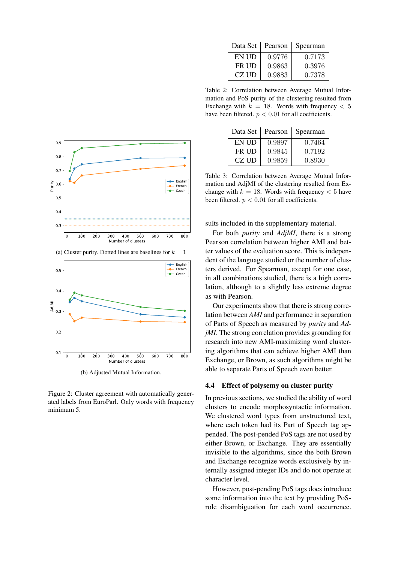<span id="page-6-1"></span>

|       | Data Set   Pearson | Spearman |
|-------|--------------------|----------|
| EN UD | 0.9776             | 0.7173   |
| FR UD | 0.9863             | 0.3976   |
| CZ UD | 0.9883             | 0.7378   |

Table 2: Correlation between Average Mutual Information and PoS purity of the clustering resulted from Exchange with  $k = 18$ . Words with frequency  $< 5$ have been filtered.  $p < 0.01$  for all coefficients.

|       |        | Data Set   Pearson   Spearman |
|-------|--------|-------------------------------|
| EN UD | 0.9897 | 0.7464                        |
| FR UD | 0.9845 | 0.7192                        |
| CZ UD | 0.9859 | 0.8930                        |

Table 3: Correlation between Average Mutual Information and AdjMI of the clustering resulted from Exchange with  $k = 18$ . Words with frequency  $< 5$  have been filtered.  $p < 0.01$  for all coefficients.

sults included in the supplementary material.

For both *purity* and *AdjMI*, there is a strong Pearson correlation between higher AMI and better values of the evaluation score. This is independent of the language studied or the number of clusters derived. For Spearman, except for one case, in all combinations studied, there is a high correlation, although to a slightly less extreme degree as with Pearson.

Our experiments show that there is strong correlation between *AMI* and performance in separation of Parts of Speech as measured by *purity* and *AdjMI*. The strong correlation provides grounding for research into new AMI-maximizing word clustering algorithms that can achieve higher AMI than Exchange, or Brown, as such algorithms might be able to separate Parts of Speech even better.

#### 4.4 Effect of polysemy on cluster purity

In previous sections, we studied the ability of word clusters to encode morphosyntactic information. We clustered word types from unstructured text, where each token had its Part of Speech tag appended. The post-pended PoS tags are not used by either Brown, or Exchange. They are essentially invisible to the algorithms, since the both Brown and Exchange recognize words exclusively by internally assigned integer IDs and do not operate at character level.

However, post-pending PoS tags does introduce some information into the text by providing PoSrole disambiguation for each word occurrence.

<span id="page-6-0"></span>

(a) Cluster purity. Dotted lines are baselines for  $k = 1$ 



(b) Adjusted Mutual Information.

Figure 2: Cluster agreement with automatically generated labels from EuroParl. Only words with frequency minimum 5.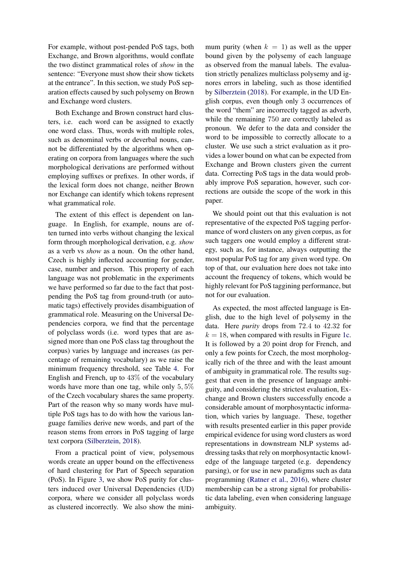For example, without post-pended PoS tags, both Exchange, and Brown algorithms, would conflate the two distinct grammatical roles of *show* in the sentence: "Everyone must show their show tickets at the entrance". In this section, we study PoS separation effects caused by such polysemy on Brown and Exchange word clusters.

Both Exchange and Brown construct hard clusters, i.e. each word can be assigned to exactly one word class. Thus, words with multiple roles, such as denominal verbs or deverbal nouns, cannot be differentiated by the algorithms when operating on corpora from languages where the such morphological derivations are performed without employing suffixes or prefixes. In other words, if the lexical form does not change, neither Brown nor Exchange can identify which tokens represent what grammatical role.

The extent of this effect is dependent on language. In English, for example, nouns are often turned into verbs without changing the lexical form through morphological derivation, e.g. *show* as a verb vs *show* as a noun. On the other hand, Czech is highly inflected accounting for gender, case, number and person. This property of each language was not problematic in the experiments we have performed so far due to the fact that postpending the PoS tag from ground-truth (or automatic tags) effectively provides disambiguation of grammatical role. Measuring on the Universal Dependencies corpora, we find that the percentage of polyclass words (i.e. word types that are assigned more than one PoS class tag throughout the corpus) varies by language and increases (as percentage of remaining vocabulary) as we raise the minimum frequency threshold, see Table [4.](#page-8-12) For English and French, up to 43% of the vocabulary words have more than one tag, while only 5, 5% of the Czech vocabulary shares the same property. Part of the reason why so many words have multiple PoS tags has to do with how the various language families derive new words, and part of the reason stems from errors in PoS tagging of large text corpora [\(Silberztein,](#page-9-9) [2018\)](#page-9-9).

From a practical point of view, polysemous words create an upper bound on the effectiveness of hard clustering for Part of Speech separation (PoS). In Figure [3,](#page-8-13) we show PoS purity for clusters induced over Universal Dependencies (UD) corpora, where we consider all polyclass words as clustered incorrectly. We also show the mini-

mum purity (when  $k = 1$ ) as well as the upper bound given by the polysemy of each language as observed from the manual labels. The evaluation strictly penalizes multiclass polysemy and ignores errors in labeling, such as those identified by [Silberztein](#page-9-9) [\(2018\)](#page-9-9). For example, in the UD English corpus, even though only 3 occurrences of the word "them" are incorrectly tagged as adverb, while the remaining 750 are correctly labeled as pronoun. We defer to the data and consider the word to be impossible to correctly allocate to a cluster. We use such a strict evaluation as it provides a lower bound on what can be expected from Exchange and Brown clusters given the current data. Correcting PoS tags in the data would probably improve PoS separation, however, such corrections are outside the scope of the work in this paper.

We should point out that this evaluation is not representative of the expected PoS tagging performance of word clusters on any given corpus, as for such taggers one would employ a different strategy, such as, for instance, always outputting the most popular PoS tag for any given word type. On top of that, our evaluation here does not take into account the frequency of tokens, which would be highly relevant for PoS taggining performance, but not for our evaluation.

As expected, the most affected language is English, due to the high level of polysemy in the data. Here *purity* drops from 72.4 to 42.32 for  $k = 18$ , when compared with results in Figure [1c.](#page-5-0) It is followed by a 20 point drop for French, and only a few points for Czech, the most morphologically rich of the three and with the least amount of ambiguity in grammatical role. The results suggest that even in the presence of language ambiguity, and considering the strictest evaluation, Exchange and Brown clusters successfully encode a considerable amount of morphosyntactic information, which varies by language. These, together with results presented earlier in this paper provide empirical evidence for using word clusters as word representations in downstream NLP systems addressing tasks that rely on morphosyntactic knowledge of the language targeted (e.g. dependency parsing), or for use in new paradigms such as data programming [\(Ratner et al.,](#page-9-10) [2016\)](#page-9-10), where cluster membership can be a strong signal for probabilistic data labeling, even when considering language ambiguity.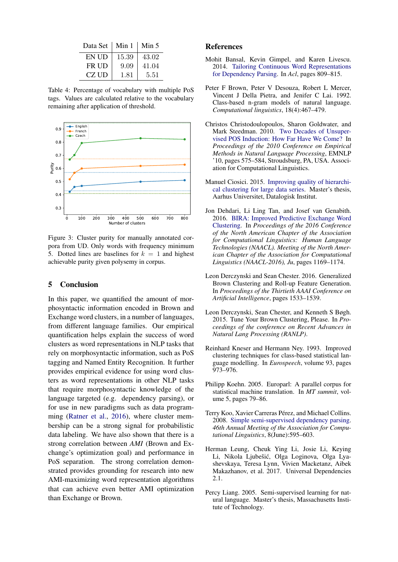<span id="page-8-12"></span>

| Data Set   Min 1 |       | Min 5 |
|------------------|-------|-------|
| EN UD            | 15.39 | 43.02 |
| FR UD            | 9.09  | 41.04 |
| CZ UD            | 1.81  | 5.51  |

Table 4: Percentage of vocabulary with multiple PoS tags. Values are calculated relative to the vocabulary remaining after application of threshold.

<span id="page-8-13"></span>

Figure 3: Cluster purity for manually annotated corpora from UD. Only words with frequency minimum 5. Dotted lines are baselines for  $k = 1$  and highest achievable purity given polysemy in corpus.

# 5 Conclusion

In this paper, we quantified the amount of morphosyntactic information encoded in Brown and Exchange word clusters, in a number of languages, from different language families. Our empirical quantification helps explain the success of word clusters as word representations in NLP tasks that rely on morphosyntactic information, such as PoS tagging and Named Entity Recognition. It further provides empirical evidence for using word clusters as word representations in other NLP tasks that require morphosyntactic knowledge of the language targeted (e.g. dependency parsing), or for use in new paradigms such as data programming [\(Ratner et al.,](#page-9-10) [2016\)](#page-9-10), where cluster membership can be a strong signal for probabilistic data labeling. We have also shown that there is a strong correlation between *AMI* (Brown and Exchange's optimization goal) and performance in PoS separation. The strong correlation demonstrated provides grounding for research into new AMI-maximizing word representation algorithms that can achieve even better AMI optimization than Exchange or Brown.

## References

- <span id="page-8-0"></span>Mohit Bansal, Kevin Gimpel, and Karen Livescu. 2014. [Tailoring Continuous Word Representations](http://www.aclweb.org/anthology/P14-2131) [for Dependency Parsing.](http://www.aclweb.org/anthology/P14-2131) In *Acl*, pages 809–815.
- <span id="page-8-1"></span>Peter F Brown, Peter V Desouza, Robert L Mercer, Vincent J Della Pietra, and Jenifer C Lai. 1992. Class-based n-gram models of natural language. *Computational linguistics*, 18(4):467–479.
- <span id="page-8-9"></span>Christos Christodoulopoulos, Sharon Goldwater, and Mark Steedman. 2010. [Two Decades of Unsuper](http://dl.acm.org/citation.cfm?id=1870658.1870714)[vised POS Induction: How Far Have We Come?](http://dl.acm.org/citation.cfm?id=1870658.1870714) In *Proceedings of the 2010 Conference on Empirical Methods in Natural Language Processing*, EMNLP '10, pages 575–584, Stroudsburg, PA, USA. Association for Computational Linguistics.
- <span id="page-8-7"></span>Manuel Ciosici. 2015. [Improving quality of hierarchi](http://arxiv.org/abs/1608.01238)[cal clustering for large data series.](http://arxiv.org/abs/1608.01238) Master's thesis, Aarhus Universitet, Datalogisk Institut.
- <span id="page-8-8"></span>Jon Dehdari, Li Ling Tan, and Josef van Genabith. 2016. [BIRA: Improved Predictive Exchange Word](http://www.aclweb.org/anthology/N16-1139.pdf) [Clustering.](http://www.aclweb.org/anthology/N16-1139.pdf) In *Proceedings of the 2016 Conference of the North American Chapter of the Association for Computational Linguistics: Human Language Technologies (NAACL). Meeting of the North American Chapter of the Association for Computational Linguistics (NAACL-2016), Ju*, pages 1169–1174.
- <span id="page-8-6"></span>Leon Derczynski and Sean Chester. 2016. Generalized Brown Clustering and Roll-up Feature Generation. In *Proceedings of the Thirtieth AAAI Conference on Artificial Intelligence*, pages 1533–1539.
- <span id="page-8-3"></span>Leon Derczynski, Sean Chester, and Kenneth S Bøgh. 2015. Tune Your Brown Clustering, Please. In *Proceedings of the conference on Recent Advances in Natural Lang Processing (RANLP)*.
- <span id="page-8-2"></span>Reinhard Kneser and Hermann Ney. 1993. Improved clustering techniques for class-based statistical language modelling. In *Eurospeech*, volume 93, pages 973–976.
- <span id="page-8-11"></span>Philipp Koehn. 2005. Europarl: A parallel corpus for statistical machine translation. In *MT summit*, volume 5, pages 79–86.
- <span id="page-8-4"></span>Terry Koo, Xavier Carreras Pérez, and Michael Collins. 2008. [Simple semi-supervised dependency parsing.](http://eprints.pascal-network.org/archive/00004511/) *46th Annual Meeting of the Association for Computational Linguistics*, 8(June):595–603.
- <span id="page-8-10"></span>Herman Leung, Cheuk Ying Li, Josie Li, Keying Li, Nikola Ljubešić, Olga Loginova, Olga Lyashevskaya, Teresa Lynn, Vivien Macketanz, Aibek Makazhanov, et al. 2017. Universal Dependencies 2.1.
- <span id="page-8-5"></span>Percy Liang. 2005. Semi-supervised learning for natural language. Master's thesis, Massachusetts Institute of Technology.